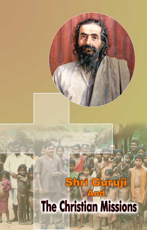# $\Delta$ **Lnc** The Christian Missions

 $\mathbb{C}$ 

 $\theta$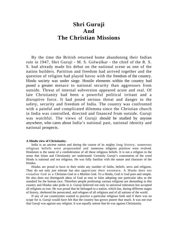## **Shri Guruji And The Christian Missions**

By the time the British returned home abandoning their Indian rule in 1947, Shri Guruji - M. S. Golwalkar - the chief of the R. S. S. had already made his debut on the national scene as one of the nation builders. Partition and freedom had arrived together and the question of religion had played havoc with the freedom of the country. Hindu society was under siege. Hostile elements within the country had posed a greater menace to national security than aggressors from outside. Threat of internal subversion appeared acute and real. Of late Christianity had been a powerful political irritant and a disruptive force. It had posed serious threat and danger to the safety, security and freedom of India. The country was confronted with a painful and complicated dilemma since the Christian church in India was controlled, directed and financed from outside. Guruji was watchful. The views of Guruji should be studied by anyone anywhere, who cares about India's national past, national identity and national prospects.

#### **A Hindu view of Christianity-**

India is an ancient nation and during the course of its mighty long history, numerous religious beliefs were propounded and numerous religious practices were evolved. Hinduism is the name of a confederation of all these religious beliefs. It is not a religion in the sense that Islam and Christianity are understood. Certainly Guruji's connotation of the word Hindu is national and not religious. He was fully familiar with the nature and character of the Hindus.

Hindus are proud to have in their midst any number of faiths, beliefs, sects and religions. They do not only just tolerate but also appreciate their existence. A Hindu does not visualize God as a Christian God or a Muslim God. To a Hindu, God is God pure and simple. He also does not distinguish ideas of God as true or false adopting one particular idea as the standard for the human race. Therefore people professing various religions are abounding in this country and Hindus take pride in it. Guruji believed not only in universal toleration but accepted all religions as true. He was proud that he belonged to a nation, which has, during different stages of history, sheltered the persecuted, and refugees of all religions and of all nations of the world.

If any of our countrymen wanted to practice a particular religious faith and if there was no scope for it, Guruji would have felt that the country has grown poorer that much. It was not true that Guruji was against any religion. It was equally untrue that he was against Christianity.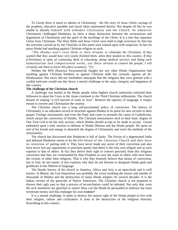To Guruji there is much to admire in Christianity - the life story of Jesus Christ, sayings of the prophets, educative parables and moral ideas represented therein. But despite all this he was unable to identify himself with orthodox Christianity and the Church. So whenever Christianity challenged Hinduism, he drew a sharp distinction between the sectarianism and dogmatism of Christianity and the spirit of the teachings of the Christ. It is a line that separates Christ from Christians. The Holy Bible and Jesus Christ were held in high reverence by him but the activities carried on by the Churches in His name were looked upon with suspicion. In fact no pious Hindu had anything against Christian religion as such,

*"The Hindus won't even think in their dreams to eliminate the Christians. If they wanted that they would have very easily finished them, when they landed on this country. If they (Christians) in spite of containing them to educating, doing medical services and doing such humanitarian and compassioned works, use these services to convert the people, I will certainly ask them to leave this place (country). "(1)*

Neither the RSS (Rastriya Swayamsevak Sangh) nor any other Hindu Organization had anything against Christian brethren or against Christian faith but certainly against all de-Hinduisation. But never did our forefathers anticipate that the religions that were greeted with a cordial welcome would one day throw a mortal challenge to the unity, integrity and happiness of this country.

#### **The challenge of the Christian church**

A challenge was hurled at the Hindu people when highest church authorities exhorted their followers to plant the Cross in the Asian continent in the Third Christian millennium. The church dreamt of reaping "a rich harvest of souls in Asia". Remove the tapestry of language, it simply meant to convert and Christianize the country.

The Christian church has a long self-proclaimed policy of conversion. The history of Christianity is an unbroken record of atrocities against Hindus in its quest for new recruits to their gospel. Foreign missionaries and even the Pope had come to promote the cause of Catholicism, which meant the conversion of Hindus. The Christian missionaries stick to their basic dogma of One True God to be the only saviour, which Hindus should accept or be made to accept. Guruji embarked upon a holy mission in defense of Hindu Dharma and the Hindu people. He spent no end of his breath and energy to demolish the dogma of Christianity and resist the methods of the missionaries.

The church has discovered that Hinduism is full of faults. The fiction of a degenerated India and debased Hinduism seems to be the life-blood of the Christian Church and they have no intention of parting with it. They have never made any secret of their conviction and also have never lost any opportunity to proclaim openly that theirs is the only true religion and as such superior to that of others. In fact they derive their right to convert precisely from this religious conviction that they are commanded by their Prophets to save the souls of others who have been the victims of other false religions. That is why they honestly believe that means of conversion, fair or foul, do not matter. It also explains why they do not hesitate to denigrate Hindu gods and goddesses in the filthiest of language.

The bloody history of the church in America, Africa and Asia is an open-book and is well known. In Bharat, the Goa Inquisition was probably the worst resulting the torture and murder of thousands of Hindus and the destruction of many Hindu temples for several decades. It is the Indian version of the genocide of Native Americans. The Christian church is not prepared to disown their ugly past so that a process of reconciliation could be initiated. Not only that, even the arch murderers are glorified as saints! How can the Hindu be persuaded to embrace the most inveterate enemy and thus endanger his own existence?

It is a mortal challenge. It seeks to destroy the natural right of the Hindu people to live with their religion, culture and civilization. It aims at the destruction of the religious diversity flourishing in this country.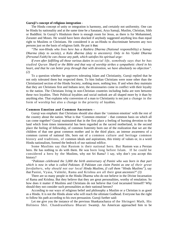#### **Guruji's concept of religious integration** -

The Hindu concept of unity or integration is harmony, and certainly not uniformity. One can be Hindu by nationality and at the same time be a Sanatani, Arya Samaji, Muslim, Christian, Sikh or Buddhist. In Guruji's Hinduism there is enough room for Jesus, as there is for Mohammed, Zoraster and Moses. He would have been shocked if anybody suggested anything less than equal right to Muslims or Christians. He considered it as un-Hindu to discriminate between any two persons just on the basis of religious faith. He put it thus:

*"The non-Hindu who lives here has a Rashtra Dharma (National responsibility) a Samaj-Dharma (duty to society), a Kula dharma (duty to ancestors). Only in his Vyakti Dharma (Personal Faith) he can choose any path, which satisfies his spiritual urge:*

*If even after fulfilling all those various duties in social life, somebody says that he has studied Quran Sharif or the Bible and that way of worship strikes a sympathetic chord in his heart, and that he can better pray through that with devotion, we have absolutely no objection". (2)*

To a question whether he approves tolerating Islam and Christianity, Guruji replied that he not only tolerated them but respected them. To him Indian Christians were none other than the Christianized section of the Hindu Society, nothing more, nothing less. If and when they maintain that they are Christians first and Indians next, the missionaries come in conflict with their loyalty to the nation. The Christians living in non-Christian countries including India are torn between these two loyalties. Their Political loyalties and social outlook are all shaped more by it than by anything else. That explains why conversion of a man to Christianity is not just a change in the form of worship but also a change in the priority of loyalties.

#### **Common Emotion and Common Ancestors -**

Guruji was emphatic that Christians should also share the 'common emotion' with the rest of the country about the nation. What is that 'Common emotion' - that common basis on which all can come together? Guruji maintained that in the first place a feeling of burning devotion to the land which from times immemorial has been regarded as the sacred motherland, in the second place the feeling of fellowship, of common fraternity born out of the realization that we are the children of that one great common mother and in the third place, an intense awareness of a common current of national life, born out of a common culture and heritage common history and traditions, of common ideals and aspirations, this trinity of values or, in a word Hindu nationalism, formed the bedrock of our national edifice.

Some Muslims say that Rustom is their national hero. But Rustom was a Persian hero. He has nothing to do with them. He was born long before Islam. If he could be considered a hero by the Muslims, why not Sri Rama? 1 say, why don't you accept this history?

*"Pakistan celebrated the 5,000 the birth anniversary of Panini who was born in that part which is now in what is called Pakistan. If Pakistan can claim Panini as one of their great forefathers, why should not our local Hindu Muslims, (I call them "Hindu Muslims"),* say that Panini, Vyasa, Valmiki, Rama and Krishna are all their great ancestors?" *(3)*

There are so many people in the Hindu Dharma who do not believe in the Divine Incarnation of Rama and Krishna. But they believe that they are great personalities, worthy of emulation. So how does it matter if Muslims and Christians do not believe that God incarnated himself? Why should they not consider such personalities as their national heroes?

According to our ways of religious belief and philosophy a Muslim or a Christian is as good as a Hindu. It is not the Hindu alone who will reach the ultimate Godhead. Everyone has the right to follow his path according to his own persuasion. Guruji further said:

Let me give you the instance of the previous Shankaracharya of the Shringeri Math, His Holiness Shri. Chandrasekhara Bharati Swamiji. An American approached him to be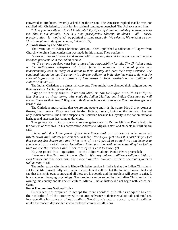converted to Hinduism. Swamiji asked him the reason. The American replied that he was not satisfied with Christianity, that it left his spiritual longing unquenched. The Acharya asked him:

" *Have you honestly practiced Christianity? Try it first. If it does not satisfy you, then come to me. That is our attitude. Ours is a non- proselytizing Dharma. In almost all cases, proselytization is motivated by political or some such gain. We reject it. We reject it we say: This is the plain truth, if you choose, follow it". (4)*

#### **A Confession by the Mission-**

The institution of Indian Christians Mission, FOIM, published a collection of Papers from Church wherein a frank confession was made in this matter. They confess: -

*"However, due to historical and socio- political factors, the call to conversion and baptism has been problematic in the Indian context.*

*We Christians ourselves must bear a part of the responsibility for this. The Christian attack on the indigenous religions of India from a position of colonial power was understandably seen by many as a threat to their identity and even their very existence. The continued impression that Christianity is a foreign religion in India also has much to do with the colonial legacy and the reluctance of Christians to look positively on the tradition and culture of India". (5)*

The Indian Christians are almost all converts. They might have changed their religion but not their ancestors. As Guruji would say:

*"My point is very simple. If Iranian Muslims can look upon a pre Islamic figure like Rustom as their hero, why can't the Indian Muslims and Indian Christians as well accept Rama as their hero? Why, even Muslims in Indonesia look upon Rama as their greatest hero! ". (6)*

The Christians must realize that we are one people and it is the same blood that courses through our veins. They are not Arabs, Italians, French, Dutch or the English. They are only Indian converts. The Hindu suspects the Christian because his loyalty to the nation, national heritage and ancestors has come under cloud.

The grievance of Guruji was also the grievance of Prime Minister Pandit Nehru in the context of Muslims. In his convocation Address to Aligarh's staff and students in 1948 Nehru said:

*I have said that I am proud of our inheritance and our ancestors who gave an intellectual and cultural pre-eminence to India. How do you feel about this past? Do you feel that you are also sharers in it and inheritors of it and proud of something that belongs to you as much as to me? Or do you feel alien to it and pass it by without understanding it or feeling that we are the trustees and inheritors of this vast treasure? (7)*

Having posed this question to the Aligarh alumni Pandit Nehru proceeded:

*"You are Muslims and I am a Hindu. We may adhere to different religious faiths or even to none but that does not take away from that cultural inheritance that is yours as well as mine ".* (8)

The main reason why there is Hindu-Christian tension in India is that the Indian Christian is yet to identify himself fully with India, its people and culture. Let the Indian Christian feel and say that this is his own country and all these are his people and the problem will cease to exist. It is a matter of changing psychology. The problem can be solved by the Indian Christian just by owning this country and its ancient culture. After all, Indian history did not begin with Vasco-da-Gama.

#### **For A Harmonious National Life** -

Guruji was not prepared to accept the mere accident of birth as adequate to earn the nationhood of the country without any reference to their mental attitude and mind-set. In expounding his concept of nationalism Guruji preferred to accept ground realities unlike the modern day secularist who preferred convenient illusions.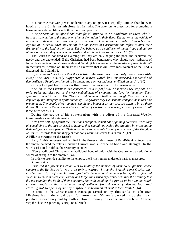It is not true that Guruji was intolerant of any religion. It is equally untrue that he was hostile to the Christian missionaries in India. The criterion he prescribed for promoting a harmonious national life was both patriotic and practical.

"The *prescription he offered had room for all minorities on condition of their wholehearted submission to the supreme value of the nation in their lives. The nation is the vehicle of universal truth and is not an entity above them. Christians consider themselves as agents of international movement for the spread of Christianity and refuse to offer their first loyally to the land of their birth. Till they behave as true children of the heritage and culture of their ancestors, they will remain hostile and will have to be treated as such". (9)*

The Church is not tired of claiming that they are only helping the poor, the deprived, the needy and the unattended. If the Christians had been benefactors why should such stalwarts of Indian Nationalism like Vivekananda and Gandhiji felt outraged at the missionary machinations? In fact their vilification of Hinduism is so excessive that it will leave most tolerant of the Hindus distressed. Said Gandhiji,

*It pains me to have to say that the Christian Missionaries as a body, with honorable exceptions, have actively supported a system which has impoverished, enervated and demoralized a People considered to be among the gentlest and most civilized on earth". (10)* 

Guruji had put his finger on this humanitarian mask of the missionaries:

" *So far as the Christians are concerned, to a superficial observer they appear not only quite harmless but as the very embodiment of sympathy and love for humanity. Their speeches abound in words like 'Service' and 'human salvation' as though they are specially deputed by the Almighty to uplift humanity! Everywhere they run schools colleges, hospitals and orphanages. The people of our country, simple and innocent as they are, are taken in by all these things. But what is the real and ulterior motive of Christians in pouring crores of rupees in all these activities?"*(11)

During the course of his conversation with the editor of the Illustrated Weekly, Guruji made a candid statement -

*"We have nothing against the Christians except their methods of gaining converts. When they give medicine to the sick or bread to hungry, they should not exploit the situation by propagating their religion to those people. Their only aim is to make this Country a province of the Kingdom of Christ. Towards that end they feel that every tactics however foul is fair ".* (12)

#### **A Pillar of strength to the British** -

Early British conquests had resulted in the firmer establishment of Pax-Britanica. Security of the empire haunted the rulers. Christian Church was a source of hope and strength. In the words of Lord Halifax, the secretary of state:

"Every additional Christian is an additional bond of union with the Country and an additional source of strength to the empire". *(13)*

In order to provide stability to the empire, the British rulers undertook various measures. Guruji said -

*First and the foremost method was to multiply the number of their co-religionists whose support to the British rule would be uninterrupted. Since the British were Christians, Christianisation of the Hindus gradually became a state enterprise. Quite a few did succumb to their inducements. But by and large, the British experience was that the ordinary folk did not abandon the Faith of their ancestors. Not with standing the pangs of hunger so much so the people in the tribal area though suffering from shortage of adequate food and clothing not to speak of money display a stubborn attachment to their Faith* ". (14)

In spite of the Christianisation campaign carried on by thousands of Christian Missionaries in the tribal belts for more than 150 years backed up by their own political ascendancy and by endless flow of money the experience was bitter. At every step the shoe was pinching. Guruji recollected;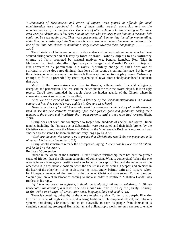*"…thousands of Missionaries and crores of Rupees were poured in officials for local administration were appointed in view of their utility towards conversion and on the recommendation of the missionaries. Preachers of other religious Faiths working in the same area were just driven out. A few Arya Samaji activists who ventured to set foot on in the same belt could not be seen again alive. They were just murdered. Similar fate including manhandling, abduction, and murder befell the Sangh workers also who had managed to setup in that area. The law of the land had chosen to maintain a story silence towards these happenings … … … … …(15)* 

The Christians of India are converts or descendents of converts whose conversion had been secured during some period of history by force or fraud. Nobody objects to any voluntary change of faith promoted by spiritual motives, e.g. Pandita Ramabai, Rev. Tilak in Maharashtra, Brahmabandhan Upadhyaya in Bengal and Manilal Parekh in Gujarat. But conversion by persuasion is a rarity. Voluntary change of faith born out of spiritual motive does not diminish their love of the country's cultural heritage. But how are the villages converted en-mass in no time - Is there a spiritual motive at play here? Voluntary change of faith is preceded by great psychological revolution; nobody abandoned Hinduism that way.

Most of the conversions are due to threats, allurements, financial stringency, deception and persecution. The less said the better about the role the sword played. It is an ugly record. Guruji often reminded the people about the hidden agenda of the Church where in conversion aims at subversion. He recalled;

*"Are we not aware of the atrocious history of the Christian missionaries, in our own country, of how they carried sword and fire in Goa and elsewhere?*

*There is the story of "saint" Xavier who used to experience the highest joy of his life when he used to see the new converts trampling upon their former gods and goddesses razing their temples to the ground and insulting their own parents and elders who had remained Hindus ". (16)*

Guruji does not want our countrymen to forget how hundreds of ancient and sacred Hindu temples including the famous one at Sabarimalai were desecrated and their idols broken by the Christian vandals and how the Memorial Tablet on the Vivekananda Rock at Kanyakumari was smashed by the same Christian fanatics not very long ago. Said he;

*"Such are the men who came to us to preach that Christianity would shower peace and milk of human kindness on humanity ". (17)*

Guruji would sometimes remark the oft-repeated saying; " *There was but one true Christian, and he died on the cross".*

#### **Politics of Conversion**

Indeed in the whole of the Christian - Hindu strained relationship there has been no greater cause of friction than the Christian campaign of conversion. What is conversion? When the one who is in an advantageous position seeks to force his concept of God and the universe on the other who is in a vulnerable position, when the one strikes at that which is deepest and precious in the heart of the other he invites resistance. A missionary brings pain and misery when he kidnaps a member of the family in the name of Christ and conversion. To the question: "Would you prevent missionaries coming to India in order to baptize?" Mahatma Gandhi was ruthless in his reply,

*"If I had the power to legislate, I should certainly stop all the proselytizing. In Hinduhouseholds, the advent of a missionary has meant the disruption of the family, coming in the wake of change of dress, manners, language, food and drink". (18)*

There is something unhealthy in the whole missionary idea. To go to a people like the Hindus, a race of high culture and a long tradition of philosophical, ethical, and religious systems ante-dating Christianity and to go avowedly to save its people from damnation is certainly something grotesque! Humanitarian and philanthropic works are only excuses to enable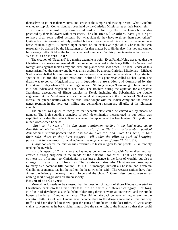themselves to go near their victims and strike at the simple and trusting hearts. What Gandhiji wanted to stop viz. Conversion, has been held by the Christian Missionaries as their basic right.

Conversion is not only sanctioned and glorified by their theologies but is also practiced by their followers with earnestness. The Christians, like others, have got a right to have their own belief systems. But what right do they have to thrust them upon others? Quite a few missionaries not only justified but also recommended this crime of conversion as a basic "human right". A human right cannot be an exclusive right of a Christian but can reasonably be claimed by the Mussalman or for that matter by a Hindu also. It is not and cannot be one-way traffic. It takes the form of a game of numbers. Can this promote national harmony? **What ails the North East?** 

The creation of 'Nagaland' is a glaring example in point. Even Pandit Nehru accepted that the Christian missionaries engineered all open rebellion launched in the Naga Hills. The Nagas used foreign arms against Indian army and even our planes were shot down. The rebel leader of this gangsterism fled the country and he was given asylum by a noted Christian Missionary - Michael Scott - who abetted him in making various statements damaging our reputation. They started 'peace talks' and the 'peace mission' included this gentleman called Michael Scott. The dream was to convert Nagaland into an independent state ridden and dominated by the Christian. Today when a Christian Naga comes to Shillong he says 'I am going to India' as if he is a non-Indian and Nagaland is not India. The troubles during the agitation for a separate Jharkhand, desecration of Hindu temples in Kerala including the Sabarimalai, the trouble engineered at the Vivekananda Rock memorial at Kanyakumari, the troubles of Nilakkal in Kerela, the pitched battles which the rebel Mizo fought with the Indian Army and the terrorist gangs roaming in the north-east killing and demanding ransom are all gifts of the Christian church.

The church was quick to recognize that separate state could be carved out by means of number. The high sounding principle of self- determination incorporated in our polity was exploited with deadliest effect. It only whetted the appetite of the headhunters. *Guruji* did not mince words when he said:

*"Such is the role of the Christian gentlemen residing in our land today, out to demolish not only the religious and social fabric of our life but also to establish political domination in various pockets and if possible all over the land. Such has been, in fact their role wherever they have stepped* - *all under the alluring garb of bringing peace and brotherhood to mankind under the angelic wings of Jesus Christ ". (19)* 

*Guruji* considered the missionaries overtures to teach religion to our people is like forcibly feeding the overfed.

It is this aspect of Christianity that has today come into conflict with Nationalism and has created a strong suspicion in the minds of the national societies. That explains why conversion of a man to Christianity is not just a change in the form of worship but also a change in the priority of loyalties. That again explains why Christians are looked upon by many as a potential fifth column. Dr. J. C. Kumarappa, himself a Christian, and a veteran Gandhi an economist has hit the nail on the head when he said: "The western nations have four Arms- the infantry, the navy, the air force and the church". Guruji describes conversion as nothing short of aggression on Hindu society.

#### **Return of the Converts**

Meanwhile it needs to be stressed that the question of return of those Hindus converted to Christianity back into the Hindu fold falls into an entirely different category. For long Hindus had developed a suicidal habit of declaring these converts as "outcastes" and the Hindu house had only 'exits' and no 'entrance'. They did not take back converts willing to return to the ancestral faith. But of late, Hindus have become alive to the dangers inherent in this one way traffic and have decided to throw open the gates of Hinduism to the lost tribes. If Christianity claims conversion as its basic right, it must give the same right to the Hindus so that they could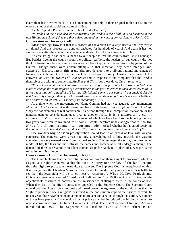claim their lost brethren back. It is a homecoming not only to their original faith but also to the whole gamut of their social and cultural milieu.

As Dr. Rajendra Prasad wrote in his book 'India Divided';

"*If Hindus on their side also start converting non Hindus to their faith, it is no business of the non Hindus especially if they are themselves engaged in the work of conversion, to object". (20)* **Conversion — One-way traffic.** 

 Most puzzling! How is it that this process of conversion has always been a one-way traffic all along? And this process has gone on unabated for hundreds of years? And again it has not stopped even after the country became independent? The toll it has taken is terrible.

An epic struggle had been launched by our people to free the country from *British* bondage. But besides freeing the country from the political serfdom, the leaders of our country did not think of freeing our brothers and sisters who had been kept under the religious subjugation of the Church. Though there were certain attempts in that direction they were meager and scattered. Unfortunately this trend did not develop into a vibrant national movement of freeing our kith and kin from the shackles of religious slavery. During the course of his conversation with the *Maulvis of Coimbatore* and in response to the complaint that the *Hindus*  themselves are taking to converting *Muslims and Christians* those days, *Guruji* remarked:

"*It is not conversion into Hinduism. It is only giving an opportunity for those who had been made to change the faith by force of circumstances in the past, to return to their ancestral faith. Is it not a fact that only a handful of Muslims (Christians) came to our country from outside? All the rest have only changed their faith for well-known reasons. Returning to one's ancestral faith is not conversion at all. It is merely homecoming". (21)*

At a time when the movement for Home-Coming had not yet acquired any momentum *Mahatma Gandhi* came out with greater emphasis in its favour. *"In my opinion"* said *Gandhiji,*  "they are not examples of real conversion. If a person through fear, compulsion, starvation, or for material gain or consideration, goes over to another faith, it is a misnomer to call it conversion. Most cases of mass conversion of which we have heard so much during the past two years have been, to my mind, false coins. I would therefore unhesitatingly readmit to the *Hindu* fold all such repentant without much ado". Asked whether he favoured receiving the converts back *Swami Vivekananda* said *"Certainly they can and ought to be taken ". (22)*

One wonders why *Christian* proselytization should lead to an excess of love with western countries. The converts were given not only a psychological affinity towards the western countries but were weaned away from national society. The language, the script, the dress, other modes of life, the fasts and the festivals, the names and nomenclature all undergo a change. The demand of the Goan Catholics to adopt Roman script for Konkani in place of Devnagari is the reflection of this attitude.

#### **Conversion - Unconstitutional, illegal**

The Church claims that the constitution has conferred on them a right to propagate, which is as good as a right to convert. Neither the Hindu Society nor the law of the land accepts that the right to propagate means right to convert. The Supreme Court is unequivocal on this. It is strange that the Christian Missionaries are even to this day carrying on a relentless battle to see that "the legal right will be to convert unrestricted". When Madhya Pradesh and Orissa Governments enacted "Freedom of Religion Act" in 1968 seeking to control certain objectionable practices of conversion, the missionaries challenged them in the courts of law. When they lost in the High Courts, they appealed to the Supreme Court. The Supreme Court upheld both the Acts as constitutional and turned down the argument of the missionaries that the "right to propagate one's religion" enshrined in the constitution implied the right to convert. In recent years there have been many attempts to prevent conversions through legislation. A number of States have passed anti conversion bills. A private member introduced one bill in parliament to oppose conversions viz. The Indian Converts Bill 1954. The first "Freedom of Religion Act was introduced in 1967. The Supreme Court Ruling- 1977 said that 'there is no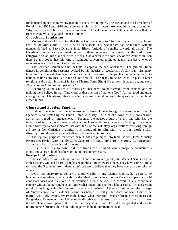fundamental right to convert any person to one's own religion'. The second and third Freedom of Religion Act 1968 and 1978 and a few other similar Bills were introduced in various assemblies. Why such a spate of bills to prevent conversions? It is eloquent in itself. It is crystal clear that the right to convert is illegal and unconstitutional.

#### **Church and Secularism -**

Moreover it should be noted that the act of conversion to Christianity violates a basic feature of our Constitution i.e. of secularism. For Secularism has been times without number defined as Sarva Dharma Sama Bhava (attitude of equality towards all faiths). The Christian Church has never made secret of their conviction that theirs is the only true religion and as such superior to others. Conversion is the corollary of this conviction. Can there be any doubt that this kind of religious conversion militates against the basic tenet of secularism enshrined in our Constitution?

The Christian Church will not hesitate to approve the secularist ideals. The gullible Hindu dances in delight at the response evoked by his theories of secularism. A Christian missionary talks in the loudest language about secularism because it helps his conversion and denationalization activities. But can he hoodwink all? Is he ready to accord equal respect to other religions and display his belief in Sarva Dharma Sama Bhav? He throws his hands up, and says, *"My religious faith does not permit it".*

According to the Church all others are "heathens" to be "saved" from "damnation" by making them believe in that "One word of that one son of that one God". All the good and great among the holy Christians, otherwise admirable are, when it comes to the question of Church, all closed minds.

#### **Church and Foreign Funding**

It should be noted that the uninterrupted inflow of huge foreign funds to various church agencies is confirmed by the Union Home Ministry. It is at the root of all conversion activities based on inducement. It becomes the patriotic duty of every one who has the integrity of our nation at heart to plug all such surreptitious channels of funding. The annual Home Ministry Report indicates that over 80% of the voluntary organizations receiving foreign aid are in fact Christian organizations engaged in Christian religious work either directly through propagation or indirectly through social service.

The top five purposes for which huge funds are pumped into India, as per Home Ministry Report are: Health Care, Family Care, Care of orphans, Help to the poor, Construction and extension of schools and colleges.

It is interesting to note that the funds are utilized where majority population is Hindu and a large chunk has been going to the southern states.

#### **Foreign Missionaries -**

India is infested with a large number of these uninvited guests, the Michael Scotts and the Father Ferars. One need hardly emphasize public attitude towards them. They have come to India to 'save' the 'heathens' from 'damnation'. We are to believe that they have come on a mission of mercy.

Let a missionary try to convert a single Muslim in any Islamic country, he is sure to be lynched and murdered immediately by the Muslim mobs even before the state apparatus could confiscate visas and issue orders of expulsion. Could he recruit a convert in any communist country without being caught as an 'imperialist agent' and sent to a labour camp? Are not certain missionaries languishing in prisons in certain Southeast Asian countries on the charge of 'subversion'? Even Buddhist Burma has barred his entry. One does not want India to be marred with ugly events. Every child knows what reception awaits Christian Missionaries in Bangladesh. Remember how Pakistan dealt with Christians during recent past and how its blasphemy laws operate. It is time that they should not take India for granted and should return home. Christian church in India requires to be de-internationalized.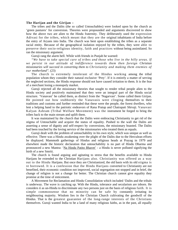#### **The Harijan and the Girijan –**

The tribes and the Dalits (the so called Untouchables) were looked upon by the church as 'green pastures' for conversion. Theories were propounded and arguments discovered to show how the above two are alien to the Hindu fraternity. They deliberately used the expression Adivasi for the tribes, which meant that they are the original inhabitants of India before the entry of Aryans into India. The church was bent upon establishing the tribes as a separate racial entity. Because of the geographical isolation enjoyed by the tribes, they were able to preserve their socio-religious identity, faith and practices without being assimilated. So ran the missionary argument.

Guruji rang the alarm bell. While with friends in Punjab he warned:

*"We have to take special care of tribes and those who live in the hilly areas. If we persist in our attitude of indifference towards them then foreign Christian missionaries will succeed in converting them to Christianity and making them enemies of our motherland".* (23)

The church is extremely intolerant of the Hindus working among the tribal population whom they consider their natural exclusive 'Prey'. If it is entirely a matter of serving the neglected sections, the Hindu response should not have caused irritation to them. It is the fear of a merchant losing a monopoly market.

Guruji rejected all the missionary theories that sought to render tribal people alien to the Hindu society and positively maintained that they were an integral part of the Hindu social structure. 'Vanavasi' he called them, as distinct from the 'Nagarvasi'. Some called them Girijan. He pointed out how stubbornly the Vanavasis were clinging themselves to their traditions and customs and further reminded that these were the people, the forest dwellers, who lent a helping hand to the patriotic endeavors of Rana Pratap and Chatrapati Shivaji. Vanavasi Kalyan Ashram (Tribal Welfare Movement) was the instrument he forged to bring the tribes back to the main stream and uplift them.

It was maintained by the church that the Dalits were embracing Christianity to get rid of the stigma of Untouchable and acquire the status of equality. Pushed to the wall the Dalits are asserting a sense of dignity and self-respect by conversions, the missionary boasted. The Dalits had been touched by the loving service of the missionaries who treated them as equals.

Guruji dealt with the problem of untouchability in his own style, which was unique as well as effective. There was a Hindu awakening over the plight of the Dalits due to the Herculean efforts he displayed. Mammoth gatherings of Hindus and religious heads at Prayag in 1979 and elsewhere made the historic declaration that untouchability is no part of Hindu Dharma and pronounced a new Mantra: 'Na Hindu Patito Bhavet' - a Hindu is never polluted signifying the birth of a new Smriti.

The church is found arguing and agitating to stress that the benefits available to Hindu Harijans be extended to the Christian Harijans also. Christianity was offered as a way out to the Hindu Harijans. But once they are Christianized, the old basis with its old stigma is re borrowed. It is a confession that the Hindu Harijans converted to Christianity are not benefited, their economic condition not improved, social segregation not stopped and in brief, the change of religion is not a change for better. The Christian church cannot give equality they promise at the time of enticement.

A Movement for Reclamation and Hindu Consolidation which included 'Dalits and the tribals is underway. The wave is catching up. With the Hindu, tolerance and secularism are inborn. He considers it as un-Hindu to discriminate any two persons just on the basis of religious faith. It is simple commonsense that no minority can be safe by constantly irritating its neighbouring majority. Wisdom lies in the Christian Church cultivating the goodwill of the Hindus. That is the greatest guarantee of the long-range interests of the Christians themselves. Guruji wanted India to be a land of many religious faiths, as in the past, all equally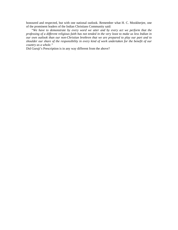honoured and respected, but with one national outlook. Remember what H. C. Mookherjee, one of the prominent leaders of the Indian Christians Community said:

*"We have to demonstrate by every word we utter and by every act we perform that the professing of a different religious faith has not tended in the very least to make us less Indian in our own outlook than our non-Christian brethren that we are prepared to play our part and to shoulder our share of the responsibility in every kind of work undertaken for the benefit of our country as a whole."*

Did Guruji's Prescription is in any way different from the above?